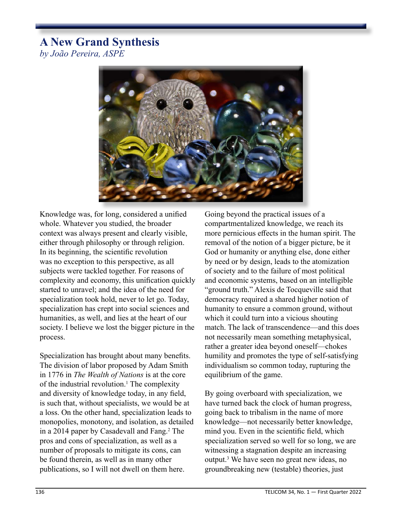## **A New Grand Synthesis**

*by João Pereira, ASPE*



Knowledge was, for long, considered a unified whole. Whatever you studied, the broader context was always present and clearly visible, either through philosophy or through religion. In its beginning, the scientific revolution was no exception to this perspective, as all subjects were tackled together. For reasons of complexity and economy, this unification quickly started to unravel; and the idea of the need for specialization took hold, never to let go. Today, specialization has crept into social sciences and humanities, as well, and lies at the heart of our society. I believe we lost the bigger picture in the process.

Specialization has brought about many benefits. The division of labor proposed by Adam Smith in 1776 in *The Wealth of Nations* is at the core of the industrial revolution.<sup>1</sup> The complexity and diversity of knowledge today, in any field, is such that, without specialists, we would be at a loss. On the other hand, specialization leads to monopolies, monotony, and isolation, as detailed in a 2014 paper by Casadevall and Fang.<sup>2</sup> The pros and cons of specialization, as well as a number of proposals to mitigate its cons, can be found therein, as well as in many other publications, so I will not dwell on them here.

Going beyond the practical issues of a compartmentalized knowledge, we reach its more pernicious effects in the human spirit. The removal of the notion of a bigger picture, be it God or humanity or anything else, done either by need or by design, leads to the atomization of society and to the failure of most political and economic systems, based on an intelligible "ground truth." Alexis de Tocqueville said that democracy required a shared higher notion of humanity to ensure a common ground, without which it could turn into a vicious shouting match. The lack of transcendence—and this does not necessarily mean something metaphysical, rather a greater idea beyond oneself—chokes humility and promotes the type of self-satisfying individualism so common today, rupturing the equilibrium of the game.

By going overboard with specialization, we have turned back the clock of human progress, going back to tribalism in the name of more knowledge—not necessarily better knowledge, mind you. Even in the scientific field, which specialization served so well for so long, we are witnessing a stagnation despite an increasing output.3 We have seen no great new ideas, no groundbreaking new (testable) theories, just